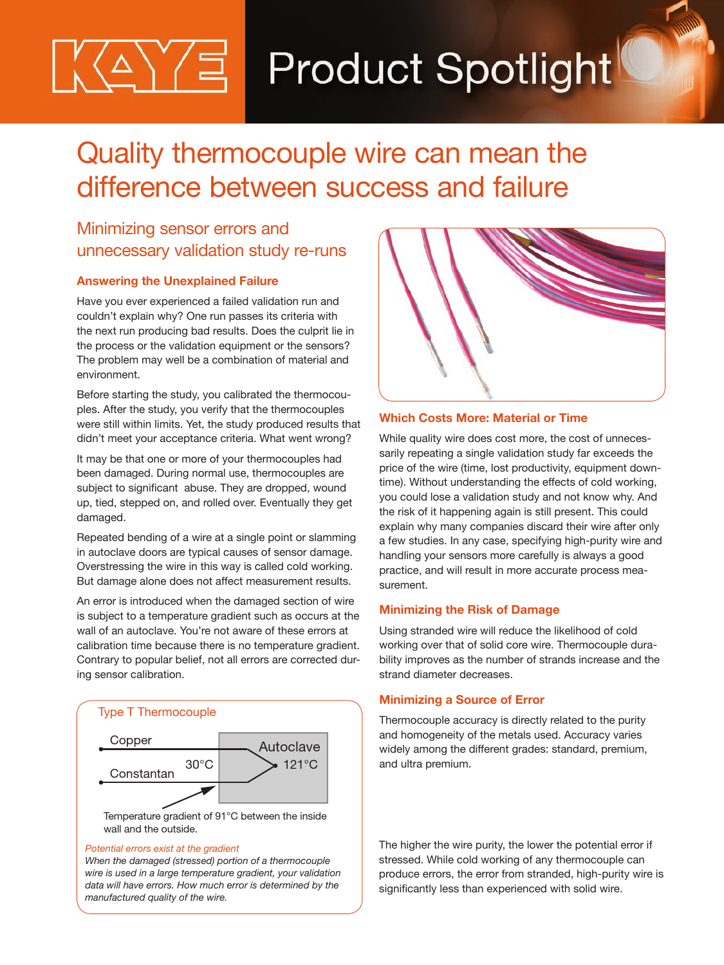# **△**\′/ョ∣ **Product Spotlight**

# Quality thermocouple wire can mean the difference between success and failure

# Minimizing sensor errors and unnecessary validation study re-runs

## **Answering the Unexplained Failure**

Have you ever experienced a failed validation run and couldn't explain why? One run passes its criteria with the next run producing bad results. Does the culprit lie in the process or the validation equipment or the sensors? The problem may well be a combination of material and environment.

Before starting the study, you calibrated the thermocouples. After the study, you verify that the thermocouples were still within limits. Yet, the study produced results that didn't meet your acceptance criteria. What went wrong?

It may be that one or more of your thermocouples had been damaged. During normal use, thermocouples are subject to significant abuse. They are dropped, wound up, tied, stepped on, and rolled over. Eventually they get damaged.

Repeated bending of a wire at a single point or slamming in autoclave doors are typical causes of sensor damage. Overstressing the wire in this way is called cold working. But damage alone does not affect measurement results.

An error is introduced when the damaged section of wire is subject to a temperature gradient such as occurs at the wall of an autoclave. You're not aware of these errors at calibration time because there is no temperature gradient. Contrary to popular belief, not all errors are corrected during sensor calibration.



#### *Potential errors exist at the gradient*

*When the damaged (stressed) portion of a thermocouple wire is used in a large temperature gradient, your validation data will have errors. How much error is determined by the manufactured quality of the wire.*



## **Which Costs More: Material or Time**

While quality wire does cost more, the cost of unnecessarily repeating a single validation study far exceeds the price of the wire (time, lost productivity, equipment downtime). Without understanding the effects of cold working, you could lose a validation study and not know why. And the risk of it happening again is still present. This could explain why many companies discard their wire after only a few studies. In any case, specifying high-purity wire and handling your sensors more carefully is always a good practice, and will result in more accurate process measurement.

### **Minimizing the Risk of Damage**

Using stranded wire will reduce the likelihood of cold working over that of solid core wire. Thermocouple durability improves as the number of strands increase and the strand diameter decreases.

### **Minimizing a Source of Error**

Thermocouple accuracy is directly related to the purity and homogeneity of the metals used. Accuracy varies widely among the different grades: standard, premium, and ultra premium.

The higher the wire purity, the lower the potential error if stressed. While cold working of any thermocouple can produce errors, the error from stranded, high-purity wire is significantly less than experienced with solid wire.